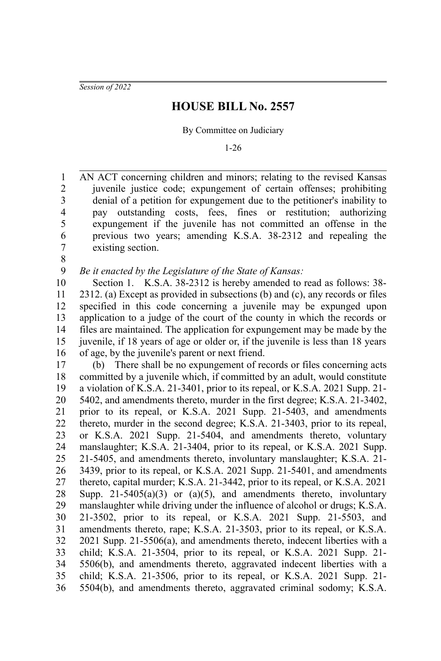*Session of 2022*

## **HOUSE BILL No. 2557**

By Committee on Judiciary

1-26

AN ACT concerning children and minors; relating to the revised Kansas juvenile justice code; expungement of certain offenses; prohibiting denial of a petition for expungement due to the petitioner's inability to pay outstanding costs, fees, fines or restitution; authorizing expungement if the juvenile has not committed an offense in the previous two years; amending K.S.A. 38-2312 and repealing the existing section. 1 2 3 4 5 6 7

8

*Be it enacted by the Legislature of the State of Kansas:* 9

Section 1. K.S.A. 38-2312 is hereby amended to read as follows: 38- 2312. (a) Except as provided in subsections (b) and (c), any records or files specified in this code concerning a juvenile may be expunged upon application to a judge of the court of the county in which the records or files are maintained. The application for expungement may be made by the juvenile, if 18 years of age or older or, if the juvenile is less than 18 years of age, by the juvenile's parent or next friend. 10 11 12 13 14 15 16

(b) There shall be no expungement of records or files concerning acts committed by a juvenile which, if committed by an adult, would constitute a violation of K.S.A. 21-3401, prior to its repeal, or K.S.A. 2021 Supp. 21- 5402, and amendments thereto, murder in the first degree; K.S.A. 21-3402, prior to its repeal, or K.S.A. 2021 Supp. 21-5403, and amendments thereto, murder in the second degree; K.S.A. 21-3403, prior to its repeal, or K.S.A. 2021 Supp. 21-5404, and amendments thereto, voluntary manslaughter; K.S.A. 21-3404, prior to its repeal, or K.S.A. 2021 Supp. 21-5405, and amendments thereto, involuntary manslaughter; K.S.A. 21- 3439, prior to its repeal, or K.S.A. 2021 Supp. 21-5401, and amendments thereto, capital murder; K.S.A. 21-3442, prior to its repeal, or K.S.A. 2021 Supp. 21-5405(a)(3) or (a)(5), and amendments thereto, involuntary manslaughter while driving under the influence of alcohol or drugs; K.S.A. 21-3502, prior to its repeal, or K.S.A. 2021 Supp. 21-5503, and amendments thereto, rape; K.S.A. 21-3503, prior to its repeal, or K.S.A. 2021 Supp. 21-5506(a), and amendments thereto, indecent liberties with a child; K.S.A. 21-3504, prior to its repeal, or K.S.A. 2021 Supp. 21- 5506(b), and amendments thereto, aggravated indecent liberties with a child; K.S.A. 21-3506, prior to its repeal, or K.S.A. 2021 Supp. 21- 5504(b), and amendments thereto, aggravated criminal sodomy; K.S.A. 17 18 19 20 21 22 23 24 25 26 27 28 29 30 31 32 33 34 35 36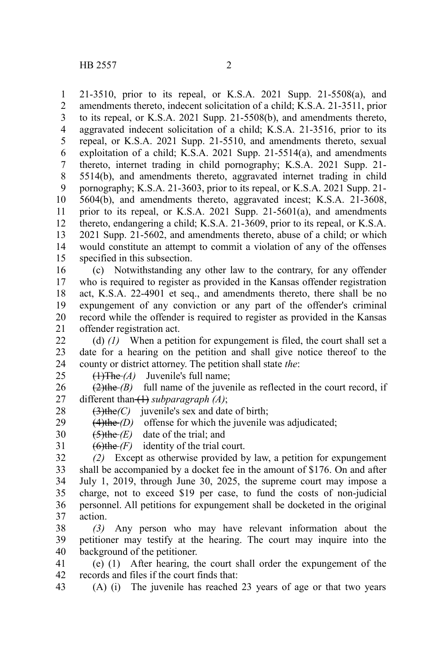21-3510, prior to its repeal, or K.S.A. 2021 Supp. 21-5508(a), and amendments thereto, indecent solicitation of a child; K.S.A. 21-3511, prior to its repeal, or K.S.A. 2021 Supp. 21-5508(b), and amendments thereto, aggravated indecent solicitation of a child; K.S.A. 21-3516, prior to its repeal, or K.S.A. 2021 Supp. 21-5510, and amendments thereto, sexual exploitation of a child; K.S.A. 2021 Supp. 21-5514(a), and amendments thereto, internet trading in child pornography; K.S.A. 2021 Supp. 21- 5514(b), and amendments thereto, aggravated internet trading in child pornography; K.S.A. 21-3603, prior to its repeal, or K.S.A. 2021 Supp. 21- 5604(b), and amendments thereto, aggravated incest; K.S.A. 21-3608, prior to its repeal, or K.S.A. 2021 Supp. 21-5601(a), and amendments thereto, endangering a child; K.S.A. 21-3609, prior to its repeal, or K.S.A. 2021 Supp. 21-5602, and amendments thereto, abuse of a child; or which would constitute an attempt to commit a violation of any of the offenses specified in this subsection. 1 2 3 4 5 6 7 8 9 10 11 12 13 14 15

(c) Notwithstanding any other law to the contrary, for any offender who is required to register as provided in the Kansas offender registration act, K.S.A. 22-4901 et seq., and amendments thereto, there shall be no expungement of any conviction or any part of the offender's criminal record while the offender is required to register as provided in the Kansas offender registration act. 16 17 18 19 20 21

(d) *(1)* When a petition for expungement is filed, the court shall set a date for a hearing on the petition and shall give notice thereof to the county or district attorney. The petition shall state *the*: 22 23 24

 $(1)$ The  $(A)$  Juvenile's full name; 25

 $(2)$ the *(B)* full name of the juvenile as reflected in the court record, if different than (1) *subparagraph (A)*; 26 27

(3)the*(C)* juvenile's sex and date of birth; 28

(4)the *(D)* offense for which the juvenile was adjudicated; 29

(5)the *(E)* date of the trial; and 30

 $(6)$ the  $(F)$  identity of the trial court. 31

*(2)* Except as otherwise provided by law, a petition for expungement shall be accompanied by a docket fee in the amount of \$176. On and after July 1, 2019, through June 30, 2025, the supreme court may impose a charge, not to exceed \$19 per case, to fund the costs of non-judicial personnel. All petitions for expungement shall be docketed in the original action. 32 33 34 35 36 37

*(3)* Any person who may have relevant information about the petitioner may testify at the hearing. The court may inquire into the background of the petitioner. 38 39 40

(e) (1) After hearing, the court shall order the expungement of the records and files if the court finds that: 41 42

(A) (i) The juvenile has reached 23 years of age or that two years 43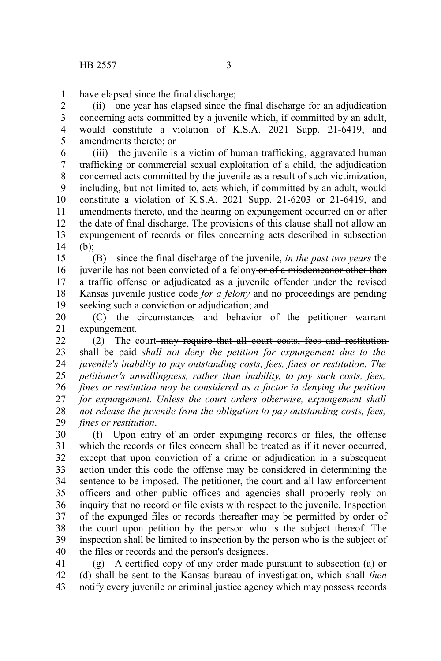have elapsed since the final discharge; 1

(ii) one year has elapsed since the final discharge for an adjudication concerning acts committed by a juvenile which, if committed by an adult, would constitute a violation of K.S.A. 2021 Supp. 21-6419, and amendments thereto; or 2 3 4 5

(iii) the juvenile is a victim of human trafficking, aggravated human trafficking or commercial sexual exploitation of a child, the adjudication concerned acts committed by the juvenile as a result of such victimization, including, but not limited to, acts which, if committed by an adult, would constitute a violation of K.S.A. 2021 Supp. 21-6203 or 21-6419, and amendments thereto, and the hearing on expungement occurred on or after the date of final discharge. The provisions of this clause shall not allow an expungement of records or files concerning acts described in subsection (b); 6 7 8 9 10 11 12 13 14

(B) since the final discharge of the juvenile, *in the past two years* the juvenile has not been convicted of a felony or of a misdemeanor other than a traffic offense or adjudicated as a juvenile offender under the revised Kansas juvenile justice code *for a felony* and no proceedings are pending seeking such a conviction or adjudication; and 15 16 17 18 19

(C) the circumstances and behavior of the petitioner warrant expungement. 20 21

(2) The court-may require that all court costs, fees and restitutionshall be paid *shall not deny the petition for expungement due to the juvenile's inability to pay outstanding costs, fees, fines or restitution. The petitioner's unwillingness, rather than inability, to pay such costs, fees, fines or restitution may be considered as a factor in denying the petition for expungement. Unless the court orders otherwise, expungement shall not release the juvenile from the obligation to pay outstanding costs, fees, fines or restitution*. 22 23 24 25 26 27 28 29

(f) Upon entry of an order expunging records or files, the offense which the records or files concern shall be treated as if it never occurred, except that upon conviction of a crime or adjudication in a subsequent action under this code the offense may be considered in determining the sentence to be imposed. The petitioner, the court and all law enforcement officers and other public offices and agencies shall properly reply on inquiry that no record or file exists with respect to the juvenile. Inspection of the expunged files or records thereafter may be permitted by order of the court upon petition by the person who is the subject thereof. The inspection shall be limited to inspection by the person who is the subject of the files or records and the person's designees. 30 31 32 33 34 35 36 37 38 39 40

(g) A certified copy of any order made pursuant to subsection (a) or (d) shall be sent to the Kansas bureau of investigation, which shall *then* notify every juvenile or criminal justice agency which may possess records 41 42 43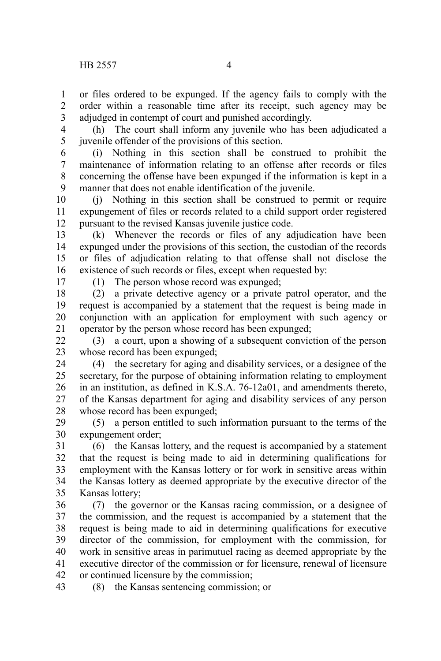or files ordered to be expunged. If the agency fails to comply with the order within a reasonable time after its receipt, such agency may be adjudged in contempt of court and punished accordingly. 1 2 3

(h) The court shall inform any juvenile who has been adjudicated a juvenile offender of the provisions of this section. 4 5

(i) Nothing in this section shall be construed to prohibit the maintenance of information relating to an offense after records or files concerning the offense have been expunged if the information is kept in a manner that does not enable identification of the juvenile. 6 7 8 9

(j) Nothing in this section shall be construed to permit or require expungement of files or records related to a child support order registered pursuant to the revised Kansas juvenile justice code. 10 11 12

(k) Whenever the records or files of any adjudication have been expunged under the provisions of this section, the custodian of the records or files of adjudication relating to that offense shall not disclose the existence of such records or files, except when requested by: 13 14 15 16

17

(1) The person whose record was expunged;

(2) a private detective agency or a private patrol operator, and the request is accompanied by a statement that the request is being made in conjunction with an application for employment with such agency or operator by the person whose record has been expunged; 18 19 20 21

(3) a court, upon a showing of a subsequent conviction of the person whose record has been expunged;  $22$ 23

(4) the secretary for aging and disability services, or a designee of the secretary, for the purpose of obtaining information relating to employment in an institution, as defined in K.S.A. 76-12a01, and amendments thereto, of the Kansas department for aging and disability services of any person whose record has been expunged; 24 25 26 27 28

(5) a person entitled to such information pursuant to the terms of the expungement order; 29 30

(6) the Kansas lottery, and the request is accompanied by a statement that the request is being made to aid in determining qualifications for employment with the Kansas lottery or for work in sensitive areas within the Kansas lottery as deemed appropriate by the executive director of the Kansas lottery; 31 32 33 34 35

(7) the governor or the Kansas racing commission, or a designee of the commission, and the request is accompanied by a statement that the request is being made to aid in determining qualifications for executive director of the commission, for employment with the commission, for work in sensitive areas in parimutuel racing as deemed appropriate by the executive director of the commission or for licensure, renewal of licensure or continued licensure by the commission; 36 37 38 39 40 41 42

(8) the Kansas sentencing commission; or 43